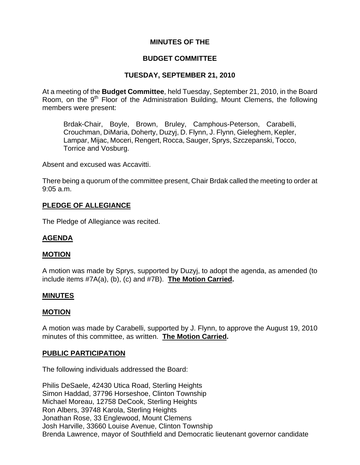# **MINUTES OF THE**

### **BUDGET COMMITTEE**

## **TUESDAY, SEPTEMBER 21, 2010**

At a meeting of the **Budget Committee**, held Tuesday, September 21, 2010, in the Board Room, on the  $9<sup>th</sup>$  Floor of the Administration Building, Mount Clemens, the following members were present:

Brdak-Chair, Boyle, Brown, Bruley, Camphous-Peterson, Carabelli, Crouchman, DiMaria, Doherty, Duzyj, D. Flynn, J. Flynn, Gieleghem, Kepler, Lampar, Mijac, Moceri, Rengert, Rocca, Sauger, Sprys, Szczepanski, Tocco, Torrice and Vosburg.

Absent and excused was Accavitti.

There being a quorum of the committee present, Chair Brdak called the meeting to order at 9:05 a.m.

### **PLEDGE OF ALLEGIANCE**

The Pledge of Allegiance was recited.

## **AGENDA**

## **MOTION**

A motion was made by Sprys, supported by Duzyj, to adopt the agenda, as amended (to include items #7A(a), (b), (c) and #7B). **The Motion Carried.** 

### **MINUTES**

### **MOTION**

A motion was made by Carabelli, supported by J. Flynn, to approve the August 19, 2010 minutes of this committee, as written. **The Motion Carried.** 

### **PUBLIC PARTICIPATION**

The following individuals addressed the Board:

Philis DeSaele, 42430 Utica Road, Sterling Heights Simon Haddad, 37796 Horseshoe, Clinton Township Michael Moreau, 12758 DeCook, Sterling Heights Ron Albers, 39748 Karola, Sterling Heights Jonathan Rose, 33 Englewood, Mount Clemens Josh Harville, 33660 Louise Avenue, Clinton Township Brenda Lawrence, mayor of Southfield and Democratic lieutenant governor candidate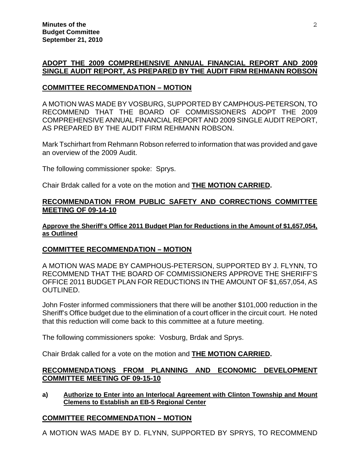# **ADOPT THE 2009 COMPREHENSIVE ANNUAL FINANCIAL REPORT AND 2009 SINGLE AUDIT REPORT, AS PREPARED BY THE AUDIT FIRM REHMANN ROBSON**

### **COMMITTEE RECOMMENDATION – MOTION**

A MOTION WAS MADE BY VOSBURG, SUPPORTED BY CAMPHOUS-PETERSON, TO RECOMMEND THAT THE BOARD OF COMMISSIONERS ADOPT THE 2009 COMPREHENSIVE ANNUAL FINANCIAL REPORT AND 2009 SINGLE AUDIT REPORT, AS PREPARED BY THE AUDIT FIRM REHMANN ROBSON.

Mark Tschirhart from Rehmann Robson referred to information that was provided and gave an overview of the 2009 Audit.

The following commissioner spoke: Sprys.

Chair Brdak called for a vote on the motion and **THE MOTION CARRIED.**

### **RECOMMENDATION FROM PUBLIC SAFETY AND CORRECTIONS COMMITTEE MEETING OF 09-14-10**

### **Approve the Sheriff's Office 2011 Budget Plan for Reductions in the Amount of \$1,657,054, as Outlined**

## **COMMITTEE RECOMMENDATION – MOTION**

A MOTION WAS MADE BY CAMPHOUS-PETERSON, SUPPORTED BY J. FLYNN, TO RECOMMEND THAT THE BOARD OF COMMISSIONERS APPROVE THE SHERIFF'S OFFICE 2011 BUDGET PLAN FOR REDUCTIONS IN THE AMOUNT OF \$1,657,054, AS OUTLINED.

John Foster informed commissioners that there will be another \$101,000 reduction in the Sheriff's Office budget due to the elimination of a court officer in the circuit court. He noted that this reduction will come back to this committee at a future meeting.

The following commissioners spoke: Vosburg, Brdak and Sprys.

Chair Brdak called for a vote on the motion and **THE MOTION CARRIED.**

## **RECOMMENDATIONS FROM PLANNING AND ECONOMIC DEVELOPMENT COMMITTEE MEETING OF 09-15-10**

**a) Authorize to Enter into an Interlocal Agreement with Clinton Township and Mount Clemens to Establish an EB-5 Regional Center**

## **COMMITTEE RECOMMENDATION – MOTION**

A MOTION WAS MADE BY D. FLYNN, SUPPORTED BY SPRYS, TO RECOMMEND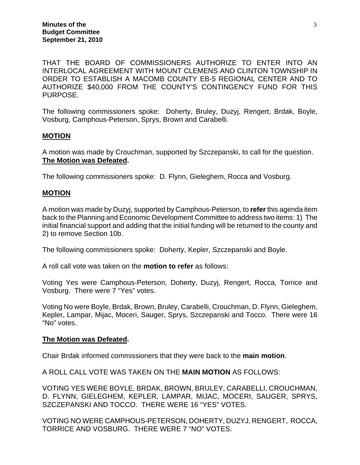THAT THE BOARD OF COMMISSIONERS AUTHORIZE TO ENTER INTO AN INTERLOCAL AGREEMENT WITH MOUNT CLEMENS AND CLINTON TOWNSHIP IN ORDER TO ESTABLISH A MACOMB COUNTY EB-5 REGIONAL CENTER AND TO AUTHORIZE \$40,000 FROM THE COUNTY'S CONTINGENCY FUND FOR THIS PURPOSE.

The following commissioners spoke: Doherty, Bruley, Duzyj, Rengert, Brdak, Boyle, Vosburg, Camphous-Peterson, Sprys, Brown and Carabelli.

## **MOTION**

A motion was made by Crouchman, supported by Szczepanski, to call for the question. **The Motion was Defeated.** 

The following commissioners spoke: D. Flynn, Gieleghem, Rocca and Vosburg.

### **MOTION**

A motion was made by Duzyj, supported by Camphous-Peterson, to **refer** this agenda item back to the Planning and Economic Development Committee to address two items: 1) The initial financial support and adding that the initial funding will be returned to the county and 2) to remove Section 10b.

The following commissioners spoke: Doherty, Kepler, Szczepanski and Boyle.

A roll call vote was taken on the **motion to refer** as follows:

Voting Yes were Camphous-Peterson, Doherty, Duzyj, Rengert, Rocca, Torrice and Vosburg. There were 7 "Yes" votes.

Voting No were Boyle, Brdak, Brown, Bruley, Carabelli, Crouchman, D. Flynn, Gieleghem, Kepler, Lampar, Mijac, Moceri, Sauger, Sprys, Szczepanski and Tocco. There were 16 "No" votes.

### **The Motion was Defeated.**

Chair Brdak informed commissioners that they were back to the **main motion**.

A ROLL CALL VOTE WAS TAKEN ON THE **MAIN MOTION** AS FOLLOWS:

VOTING YES WERE BOYLE, BRDAK, BROWN, BRULEY, CARABELLI, CROUCHMAN, D. FLYNN, GIELEGHEM, KEPLER, LAMPAR, MIJAC, MOCERI, SAUGER, SPRYS, SZCZEPANSKI AND TOCCO. THERE WERE 16 "YES" VOTES.

VOTING NO WERE CAMPHOUS-PETERSON, DOHERTY, DUZYJ, RENGERT, ROCCA, TORRICE AND VOSBURG. THERE WERE 7 "NO" VOTES.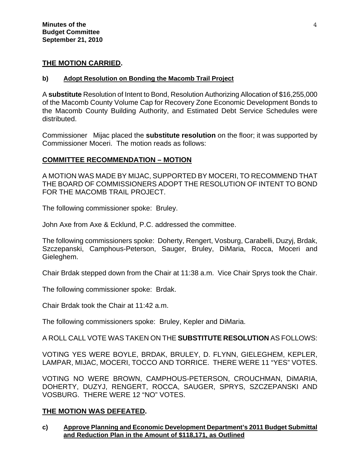# **THE MOTION CARRIED.**

### **b) Adopt Resolution on Bonding the Macomb Trail Project**

A **substitute** Resolution of Intent to Bond, Resolution Authorizing Allocation of \$16,255,000 of the Macomb County Volume Cap for Recovery Zone Economic Development Bonds to the Macomb County Building Authority, and Estimated Debt Service Schedules were distributed.

Commissioner Mijac placed the **substitute resolution** on the floor; it was supported by Commissioner Moceri. The motion reads as follows:

## **COMMITTEE RECOMMENDATION – MOTION**

A MOTION WAS MADE BY MIJAC, SUPPORTED BY MOCERI, TO RECOMMEND THAT THE BOARD OF COMMISSIONERS ADOPT THE RESOLUTION OF INTENT TO BOND FOR THE MACOMB TRAIL PROJECT.

The following commissioner spoke: Bruley.

John Axe from Axe & Ecklund, P.C. addressed the committee.

The following commissioners spoke: Doherty, Rengert, Vosburg, Carabelli, Duzyj, Brdak, Szczepanski, Camphous-Peterson, Sauger, Bruley, DiMaria, Rocca, Moceri and Gieleghem.

Chair Brdak stepped down from the Chair at 11:38 a.m. Vice Chair Sprys took the Chair.

The following commissioner spoke: Brdak.

Chair Brdak took the Chair at 11:42 a.m.

The following commissioners spoke: Bruley, Kepler and DiMaria.

## A ROLL CALL VOTE WAS TAKEN ON THE **SUBSTITUTE RESOLUTION** AS FOLLOWS:

VOTING YES WERE BOYLE, BRDAK, BRULEY, D. FLYNN, GIELEGHEM, KEPLER, LAMPAR, MIJAC, MOCERI, TOCCO AND TORRICE. THERE WERE 11 "YES" VOTES.

VOTING NO WERE BROWN, CAMPHOUS-PETERSON, CROUCHMAN, DiMARIA, DOHERTY, DUZYJ, RENGERT, ROCCA, SAUGER, SPRYS, SZCZEPANSKI AND VOSBURG. THERE WERE 12 "NO" VOTES.

## **THE MOTION WAS DEFEATED.**

**c) Approve Planning and Economic Development Department's 2011 Budget Submittal and Reduction Plan in the Amount of \$118,171, as Outlined**